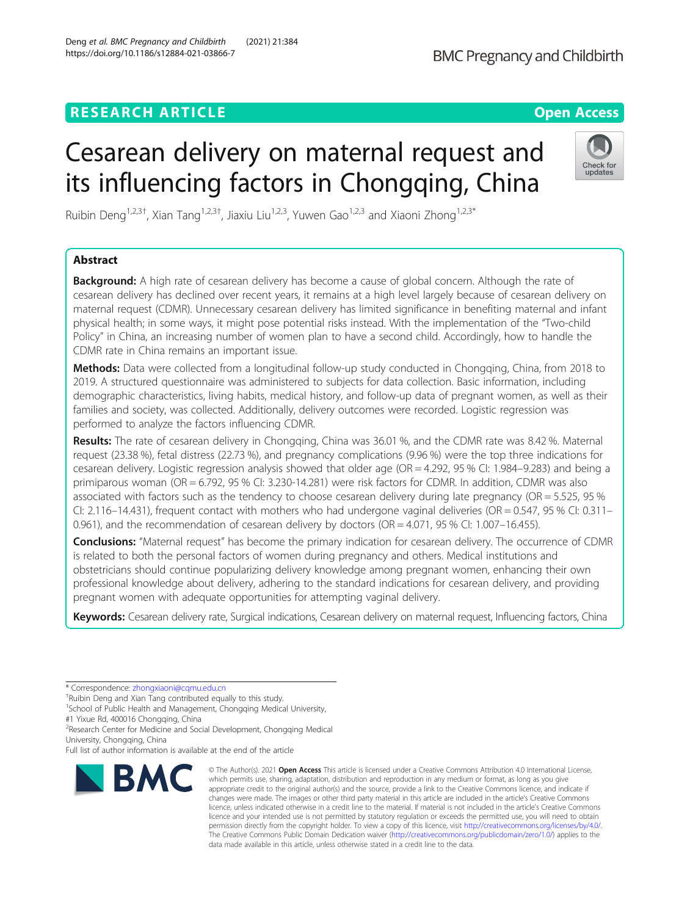# **RESEARCH ARTICLE Example 2014 12:30 The Contract of Contract ACCESS**

# Cesarean delivery on maternal request and its influencing factors in Chongqing, China

Ruibin Deng<sup>1,2,3†</sup>, Xian Tang<sup>1,2,3†</sup>, Jiaxiu Liu<sup>1,2,3</sup>, Yuwen Gao<sup>1,2,3</sup> and Xiaoni Zhong<sup>1,2,3\*</sup>

# Abstract

**Background:** A high rate of cesarean delivery has become a cause of global concern. Although the rate of cesarean delivery has declined over recent years, it remains at a high level largely because of cesarean delivery on maternal request (CDMR). Unnecessary cesarean delivery has limited significance in benefiting maternal and infant physical health; in some ways, it might pose potential risks instead. With the implementation of the "Two-child Policy" in China, an increasing number of women plan to have a second child. Accordingly, how to handle the CDMR rate in China remains an important issue.

Methods: Data were collected from a longitudinal follow-up study conducted in Chongging, China, from 2018 to 2019. A structured questionnaire was administered to subjects for data collection. Basic information, including demographic characteristics, living habits, medical history, and follow-up data of pregnant women, as well as their families and society, was collected. Additionally, delivery outcomes were recorded. Logistic regression was performed to analyze the factors influencing CDMR.

Results: The rate of cesarean delivery in Chongqing, China was 36.01 %, and the CDMR rate was 8.42 %. Maternal request (23.38 %), fetal distress (22.73 %), and pregnancy complications (9.96 %) were the top three indications for cesarean delivery. Logistic regression analysis showed that older age (OR = 4.292, 95 % CI: 1.984–9.283) and being a primiparous woman (OR = 6.792, 95 % CI: 3.230-14.281) were risk factors for CDMR. In addition, CDMR was also associated with factors such as the tendency to choose cesarean delivery during late pregnancy (OR = 5.525, 95 % CI: 2.116–14.431), frequent contact with mothers who had undergone vaginal deliveries (OR =  $0.547$ , 95 % CI:  $0.311-$ 0.961), and the recommendation of cesarean delivery by doctors (OR = 4.071, 95 % CI: 1.007-16.455).

**Conclusions:** "Maternal request" has become the primary indication for cesarean delivery. The occurrence of CDMR is related to both the personal factors of women during pregnancy and others. Medical institutions and obstetricians should continue popularizing delivery knowledge among pregnant women, enhancing their own professional knowledge about delivery, adhering to the standard indications for cesarean delivery, and providing pregnant women with adequate opportunities for attempting vaginal delivery.

Keywords: Cesarean delivery rate, Surgical indications, Cesarean delivery on maternal request, Influencing factors, China

data made available in this article, unless otherwise stated in a credit line to the data.

\* Correspondence: [zhongxiaoni@cqmu.edu.cn](mailto:zhongxiaoni@cqmu.edu.cn) †

<sup>+</sup>Ruibin Deng and Xian Tang contributed equally to this study.

<sup>1</sup>School of Public Health and Management, Chongqing Medical University,

#1 Yixue Rd, 400016 Chongqing, China <sup>2</sup> Research Center for Medicine and Social Development, Chongqing Medical

University, Chongqing, China



© The Author(s), 2021 **Open Access** This article is licensed under a Creative Commons Attribution 4.0 International License, which permits use, sharing, adaptation, distribution and reproduction in any medium or format, as long as you give appropriate credit to the original author(s) and the source, provide a link to the Creative Commons licence, and indicate if changes were made. The images or other third party material in this article are included in the article's Creative Commons licence, unless indicated otherwise in a credit line to the material. If material is not included in the article's Creative Commons

The Creative Commons Public Domain Dedication waiver [\(http://creativecommons.org/publicdomain/zero/1.0/](http://creativecommons.org/publicdomain/zero/1.0/)) applies to the







Full list of author information is available at the end of the article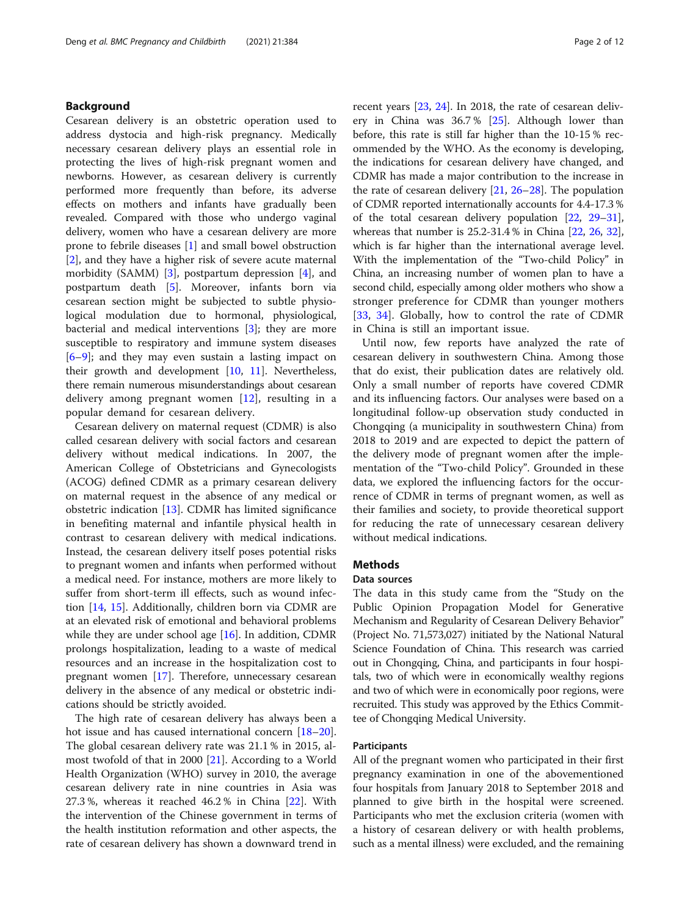### Background

Cesarean delivery is an obstetric operation used to address dystocia and high-risk pregnancy. Medically necessary cesarean delivery plays an essential role in protecting the lives of high-risk pregnant women and newborns. However, as cesarean delivery is currently performed more frequently than before, its adverse effects on mothers and infants have gradually been revealed. Compared with those who undergo vaginal delivery, women who have a cesarean delivery are more prone to febrile diseases [\[1](#page-10-0)] and small bowel obstruction [[2\]](#page-10-0), and they have a higher risk of severe acute maternal morbidity (SAMM) [[3](#page-10-0)], postpartum depression [\[4](#page-10-0)], and postpartum death [\[5](#page-10-0)]. Moreover, infants born via cesarean section might be subjected to subtle physiological modulation due to hormonal, physiological, bacterial and medical interventions [\[3](#page-10-0)]; they are more susceptible to respiratory and immune system diseases [[6](#page-10-0)–[9\]](#page-10-0); and they may even sustain a lasting impact on their growth and development [\[10,](#page-10-0) [11\]](#page-10-0). Nevertheless, there remain numerous misunderstandings about cesarean delivery among pregnant women  $[12]$  $[12]$ , resulting in a popular demand for cesarean delivery.

Cesarean delivery on maternal request (CDMR) is also called cesarean delivery with social factors and cesarean delivery without medical indications. In 2007, the American College of Obstetricians and Gynecologists (ACOG) defined CDMR as a primary cesarean delivery on maternal request in the absence of any medical or obstetric indication [[13\]](#page-10-0). CDMR has limited significance in benefiting maternal and infantile physical health in contrast to cesarean delivery with medical indications. Instead, the cesarean delivery itself poses potential risks to pregnant women and infants when performed without a medical need. For instance, mothers are more likely to suffer from short-term ill effects, such as wound infection [[14,](#page-10-0) [15](#page-10-0)]. Additionally, children born via CDMR are at an elevated risk of emotional and behavioral problems while they are under school age [\[16\]](#page-10-0). In addition, CDMR prolongs hospitalization, leading to a waste of medical resources and an increase in the hospitalization cost to pregnant women [\[17](#page-10-0)]. Therefore, unnecessary cesarean delivery in the absence of any medical or obstetric indications should be strictly avoided.

The high rate of cesarean delivery has always been a hot issue and has caused international concern [[18](#page-10-0)–[20](#page-10-0)]. The global cesarean delivery rate was 21.1 % in 2015, almost twofold of that in 2000 [\[21](#page-10-0)]. According to a World Health Organization (WHO) survey in 2010, the average cesarean delivery rate in nine countries in Asia was 27.3 %, whereas it reached 46.2 % in China [[22](#page-10-0)]. With the intervention of the Chinese government in terms of the health institution reformation and other aspects, the rate of cesarean delivery has shown a downward trend in recent years [[23](#page-10-0), [24\]](#page-10-0). In 2018, the rate of cesarean delivery in China was 36.7 % [\[25\]](#page-10-0). Although lower than before, this rate is still far higher than the 10-15 % recommended by the WHO. As the economy is developing, the indications for cesarean delivery have changed, and CDMR has made a major contribution to the increase in the rate of cesarean delivery [\[21](#page-10-0), [26](#page-10-0)–[28\]](#page-11-0). The population of CDMR reported internationally accounts for 4.4-17.3 % of the total cesarean delivery population [[22](#page-10-0), [29](#page-11-0)–[31](#page-11-0)], whereas that number is 25.2-31.4 % in China [[22](#page-10-0), [26](#page-10-0), [32](#page-11-0)], which is far higher than the international average level. With the implementation of the "Two-child Policy" in China, an increasing number of women plan to have a second child, especially among older mothers who show a stronger preference for CDMR than younger mothers [[33,](#page-11-0) [34](#page-11-0)]. Globally, how to control the rate of CDMR in China is still an important issue.

Until now, few reports have analyzed the rate of cesarean delivery in southwestern China. Among those that do exist, their publication dates are relatively old. Only a small number of reports have covered CDMR and its influencing factors. Our analyses were based on a longitudinal follow-up observation study conducted in Chongqing (a municipality in southwestern China) from 2018 to 2019 and are expected to depict the pattern of the delivery mode of pregnant women after the implementation of the "Two-child Policy". Grounded in these data, we explored the influencing factors for the occurrence of CDMR in terms of pregnant women, as well as their families and society, to provide theoretical support for reducing the rate of unnecessary cesarean delivery without medical indications.

### **Methods**

### Data sources

The data in this study came from the "Study on the Public Opinion Propagation Model for Generative Mechanism and Regularity of Cesarean Delivery Behavior" (Project No. 71,573,027) initiated by the National Natural Science Foundation of China. This research was carried out in Chongqing, China, and participants in four hospitals, two of which were in economically wealthy regions and two of which were in economically poor regions, were recruited. This study was approved by the Ethics Committee of Chongqing Medical University.

### Participants

All of the pregnant women who participated in their first pregnancy examination in one of the abovementioned four hospitals from January 2018 to September 2018 and planned to give birth in the hospital were screened. Participants who met the exclusion criteria (women with a history of cesarean delivery or with health problems, such as a mental illness) were excluded, and the remaining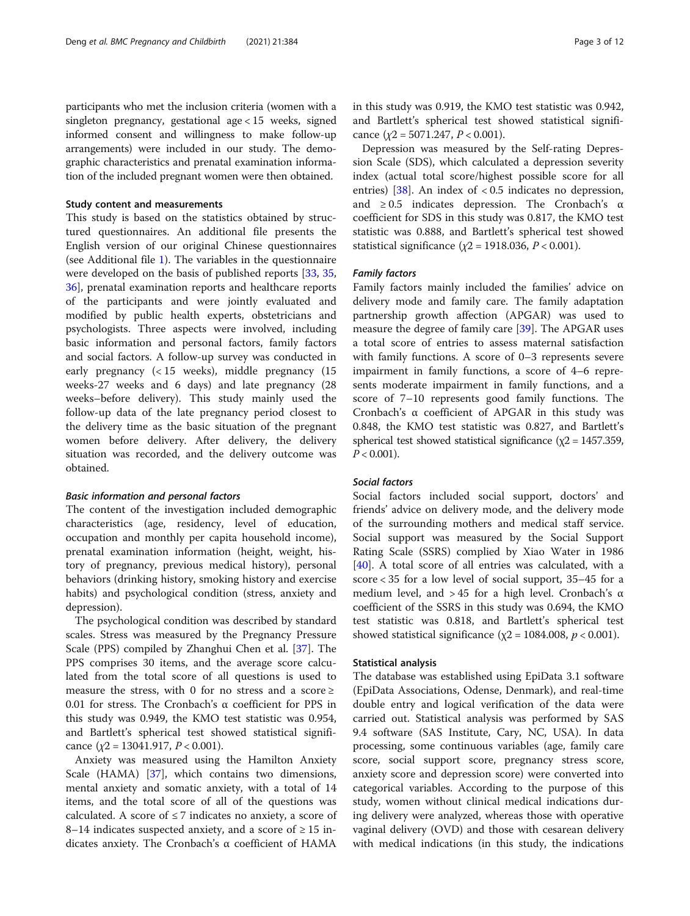participants who met the inclusion criteria (women with a singleton pregnancy, gestational age < 15 weeks, signed informed consent and willingness to make follow-up arrangements) were included in our study. The demographic characteristics and prenatal examination information of the included pregnant women were then obtained.

### Study content and measurements

This study is based on the statistics obtained by structured questionnaires. An additional file presents the English version of our original Chinese questionnaires (see Additional file [1](#page-10-0)). The variables in the questionnaire were developed on the basis of published reports [[33](#page-11-0), [35](#page-11-0), [36\]](#page-11-0), prenatal examination reports and healthcare reports of the participants and were jointly evaluated and modified by public health experts, obstetricians and psychologists. Three aspects were involved, including basic information and personal factors, family factors and social factors. A follow-up survey was conducted in early pregnancy (< 15 weeks), middle pregnancy (15 weeks-27 weeks and 6 days) and late pregnancy (28 weeks–before delivery). This study mainly used the follow-up data of the late pregnancy period closest to the delivery time as the basic situation of the pregnant women before delivery. After delivery, the delivery situation was recorded, and the delivery outcome was obtained.

### Basic information and personal factors

The content of the investigation included demographic characteristics (age, residency, level of education, occupation and monthly per capita household income), prenatal examination information (height, weight, history of pregnancy, previous medical history), personal behaviors (drinking history, smoking history and exercise habits) and psychological condition (stress, anxiety and depression).

The psychological condition was described by standard scales. Stress was measured by the Pregnancy Pressure Scale (PPS) compiled by Zhanghui Chen et al. [[37](#page-11-0)]. The PPS comprises 30 items, and the average score calculated from the total score of all questions is used to measure the stress, with 0 for no stress and a score  $\ge$ 0.01 for stress. The Cronbach's α coefficient for PPS in this study was 0.949, the KMO test statistic was 0.954, and Bartlett's spherical test showed statistical significance  $(\chi^2 = 13041.917, P < 0.001)$ .

Anxiety was measured using the Hamilton Anxiety Scale (HAMA) [\[37](#page-11-0)], which contains two dimensions, mental anxiety and somatic anxiety, with a total of 14 items, and the total score of all of the questions was calculated. A score of  $\leq$  7 indicates no anxiety, a score of 8–14 indicates suspected anxiety, and a score of  $\geq 15$  indicates anxiety. The Cronbach's α coefficient of HAMA

Depression was measured by the Self-rating Depression Scale (SDS), which calculated a depression severity index (actual total score/highest possible score for all entries) [\[38](#page-11-0)]. An index of < 0.5 indicates no depression, and  $\geq 0.5$  indicates depression. The Cronbach's  $\alpha$ coefficient for SDS in this study was 0.817, the KMO test statistic was 0.888, and Bartlett's spherical test showed statistical significance ( $\chi$ 2 = 1918.036, P < 0.001).

### Family factors

Family factors mainly included the families' advice on delivery mode and family care. The family adaptation partnership growth affection (APGAR) was used to measure the degree of family care [[39](#page-11-0)]. The APGAR uses a total score of entries to assess maternal satisfaction with family functions. A score of 0–3 represents severe impairment in family functions, a score of 4–6 represents moderate impairment in family functions, and a score of 7–10 represents good family functions. The Cronbach's α coefficient of APGAR in this study was 0.848, the KMO test statistic was 0.827, and Bartlett's spherical test showed statistical significance ( $\chi$ 2 = 1457.359,  $P < 0.001$ ).

### Social factors

Social factors included social support, doctors' and friends' advice on delivery mode, and the delivery mode of the surrounding mothers and medical staff service. Social support was measured by the Social Support Rating Scale (SSRS) complied by Xiao Water in 1986 [[40\]](#page-11-0). A total score of all entries was calculated, with a score < 35 for a low level of social support, 35–45 for a medium level, and  $> 45$  for a high level. Cronbach's  $\alpha$ coefficient of the SSRS in this study was 0.694, the KMO test statistic was 0.818, and Bartlett's spherical test showed statistical significance ( $\chi$ 2 = 1084.008,  $p$  < 0.001).

### Statistical analysis

The database was established using EpiData 3.1 software (EpiData Associations, Odense, Denmark), and real-time double entry and logical verification of the data were carried out. Statistical analysis was performed by SAS 9.4 software (SAS Institute, Cary, NC, USA). In data processing, some continuous variables (age, family care score, social support score, pregnancy stress score, anxiety score and depression score) were converted into categorical variables. According to the purpose of this study, women without clinical medical indications during delivery were analyzed, whereas those with operative vaginal delivery (OVD) and those with cesarean delivery with medical indications (in this study, the indications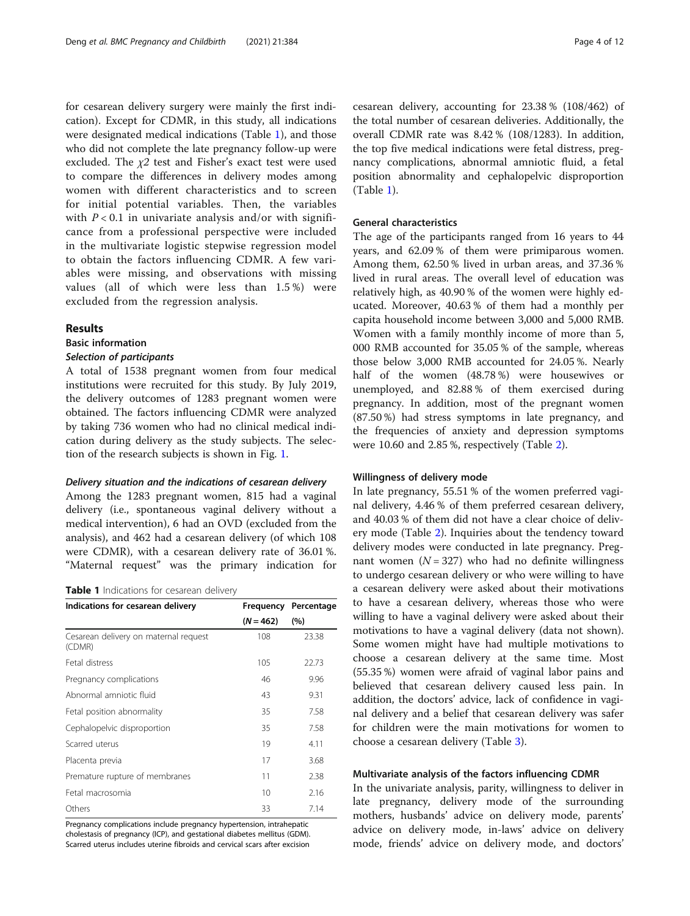for cesarean delivery surgery were mainly the first indication). Except for CDMR, in this study, all indications were designated medical indications (Table 1), and those who did not complete the late pregnancy follow-up were excluded. The  $\chi$ 2 test and Fisher's exact test were used to compare the differences in delivery modes among women with different characteristics and to screen for initial potential variables. Then, the variables with  $P < 0.1$  in univariate analysis and/or with significance from a professional perspective were included in the multivariate logistic stepwise regression model to obtain the factors influencing CDMR. A few variables were missing, and observations with missing values (all of which were less than 1.5 %) were excluded from the regression analysis.

### Results

### Basic information

### Selection of participants

A total of 1538 pregnant women from four medical institutions were recruited for this study. By July 2019, the delivery outcomes of 1283 pregnant women were obtained. The factors influencing CDMR were analyzed by taking 736 women who had no clinical medical indication during delivery as the study subjects. The selection of the research subjects is shown in Fig. [1.](#page-4-0)

### Delivery situation and the indications of cesarean delivery

Among the 1283 pregnant women, 815 had a vaginal delivery (i.e., spontaneous vaginal delivery without a medical intervention), 6 had an OVD (excluded from the analysis), and 462 had a cesarean delivery (of which 108 were CDMR), with a cesarean delivery rate of 36.01 %. "Maternal request" was the primary indication for

Table 1 Indications for cesarean delivery

| Indications for cesarean delivery               |             | Frequency Percentage |
|-------------------------------------------------|-------------|----------------------|
|                                                 | $(N = 462)$ | (%)                  |
| Cesarean delivery on maternal request<br>(CDMR) | 108         | 23.38                |
| Fetal distress                                  | 105         | 22.73                |
| Pregnancy complications                         | 46          | 9.96                 |
| Abnormal amniotic fluid                         | 43          | 9.31                 |
| Fetal position abnormality                      | 35          | 7.58                 |
| Cephalopelvic disproportion                     | 35          | 7.58                 |
| Scarred uterus                                  | 19          | 4.11                 |
| Placenta previa                                 | 17          | 3.68                 |
| Premature rupture of membranes                  | 11          | 2.38                 |
| Fetal macrosomia                                | $10 \,$     | 2.16                 |
| Others                                          | 33          | 7.14                 |

Pregnancy complications include pregnancy hypertension, intrahepatic cholestasis of pregnancy (ICP), and gestational diabetes mellitus (GDM). Scarred uterus includes uterine fibroids and cervical scars after excision cesarean delivery, accounting for 23.38 % (108/462) of the total number of cesarean deliveries. Additionally, the overall CDMR rate was 8.42 % (108/1283). In addition, the top five medical indications were fetal distress, pregnancy complications, abnormal amniotic fluid, a fetal position abnormality and cephalopelvic disproportion (Table 1).

### General characteristics

The age of the participants ranged from 16 years to 44 years, and 62.09 % of them were primiparous women. Among them, 62.50 % lived in urban areas, and 37.36 % lived in rural areas. The overall level of education was relatively high, as 40.90 % of the women were highly educated. Moreover, 40.63 % of them had a monthly per capita household income between 3,000 and 5,000 RMB. Women with a family monthly income of more than 5, 000 RMB accounted for 35.05 % of the sample, whereas those below 3,000 RMB accounted for 24.05 %. Nearly half of the women (48.78 %) were housewives or unemployed, and 82.88 % of them exercised during pregnancy. In addition, most of the pregnant women (87.50 %) had stress symptoms in late pregnancy, and the frequencies of anxiety and depression symptoms were 10.60 and 2.85 %, respectively (Table [2\)](#page-5-0).

### Willingness of delivery mode

In late pregnancy, 55.51 % of the women preferred vaginal delivery, 4.46 % of them preferred cesarean delivery, and 40.03 % of them did not have a clear choice of delivery mode (Table [2](#page-5-0)). Inquiries about the tendency toward delivery modes were conducted in late pregnancy. Pregnant women  $(N = 327)$  who had no definite willingness to undergo cesarean delivery or who were willing to have a cesarean delivery were asked about their motivations to have a cesarean delivery, whereas those who were willing to have a vaginal delivery were asked about their motivations to have a vaginal delivery (data not shown). Some women might have had multiple motivations to choose a cesarean delivery at the same time. Most (55.35 %) women were afraid of vaginal labor pains and believed that cesarean delivery caused less pain. In addition, the doctors' advice, lack of confidence in vaginal delivery and a belief that cesarean delivery was safer for children were the main motivations for women to choose a cesarean delivery (Table [3\)](#page-7-0).

### Multivariate analysis of the factors influencing CDMR

In the univariate analysis, parity, willingness to deliver in late pregnancy, delivery mode of the surrounding mothers, husbands' advice on delivery mode, parents' advice on delivery mode, in-laws' advice on delivery mode, friends' advice on delivery mode, and doctors'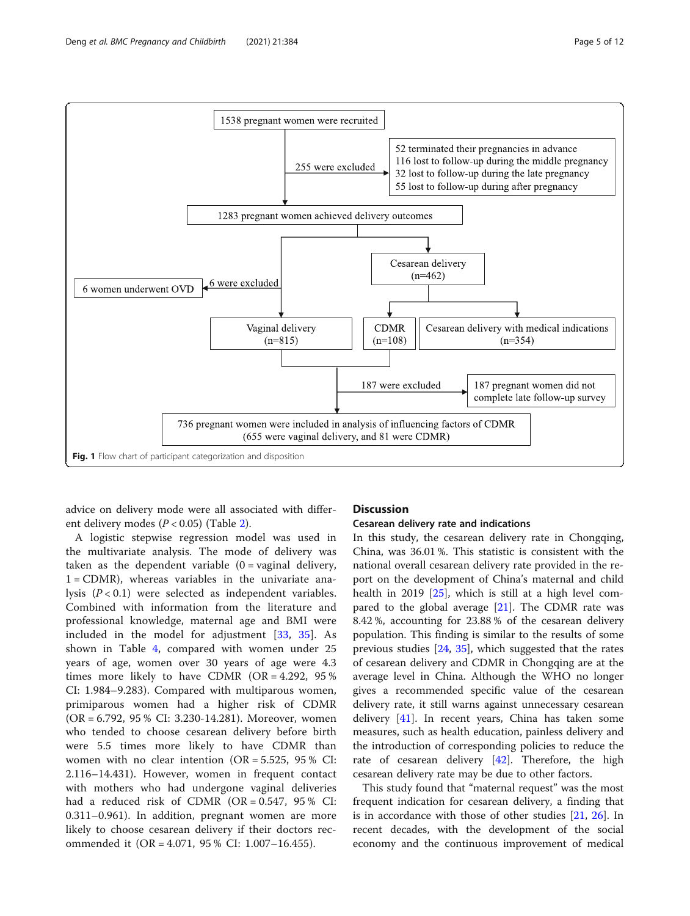<span id="page-4-0"></span>

advice on delivery mode were all associated with different delivery modes  $(P < 0.05)$  (Table [2\)](#page-5-0).

A logistic stepwise regression model was used in the multivariate analysis. The mode of delivery was taken as the dependent variable  $(0 = \text{vaginal delivery})$ ,  $1 = \text{CDMR}$ , whereas variables in the univariate analysis  $(P < 0.1)$  were selected as independent variables. Combined with information from the literature and professional knowledge, maternal age and BMI were included in the model for adjustment [\[33](#page-11-0), [35\]](#page-11-0). As shown in Table [4,](#page-8-0) compared with women under 25 years of age, women over 30 years of age were 4.3 times more likely to have CDMR  $(OR = 4.292, 95\%)$ CI: 1.984–9.283). Compared with multiparous women, primiparous women had a higher risk of CDMR (OR = 6.792, 95 % CI: 3.230-14.281). Moreover, women who tended to choose cesarean delivery before birth were 5.5 times more likely to have CDMR than women with no clear intention  $(OR = 5.525, 95\% \text{ CI:})$ 2.116–14.431). However, women in frequent contact with mothers who had undergone vaginal deliveries had a reduced risk of CDMR (OR =  $0.547$ ,  $95\%$  CI: 0.311–0.961). In addition, pregnant women are more likely to choose cesarean delivery if their doctors recommended it (OR = 4.071, 95 % CI: 1.007–16.455).

### **Discussion**

### Cesarean delivery rate and indications

In this study, the cesarean delivery rate in Chongqing, China, was 36.01 %. This statistic is consistent with the national overall cesarean delivery rate provided in the report on the development of China's maternal and child health in 2019 [[25\]](#page-10-0), which is still at a high level compared to the global average [[21](#page-10-0)]. The CDMR rate was 8.42 %, accounting for 23.88 % of the cesarean delivery population. This finding is similar to the results of some previous studies [[24,](#page-10-0) [35](#page-11-0)], which suggested that the rates of cesarean delivery and CDMR in Chongqing are at the average level in China. Although the WHO no longer gives a recommended specific value of the cesarean delivery rate, it still warns against unnecessary cesarean delivery [\[41](#page-11-0)]. In recent years, China has taken some measures, such as health education, painless delivery and the introduction of corresponding policies to reduce the rate of cesarean delivery [[42\]](#page-11-0). Therefore, the high cesarean delivery rate may be due to other factors.

This study found that "maternal request" was the most frequent indication for cesarean delivery, a finding that is in accordance with those of other studies [\[21](#page-10-0), [26\]](#page-10-0). In recent decades, with the development of the social economy and the continuous improvement of medical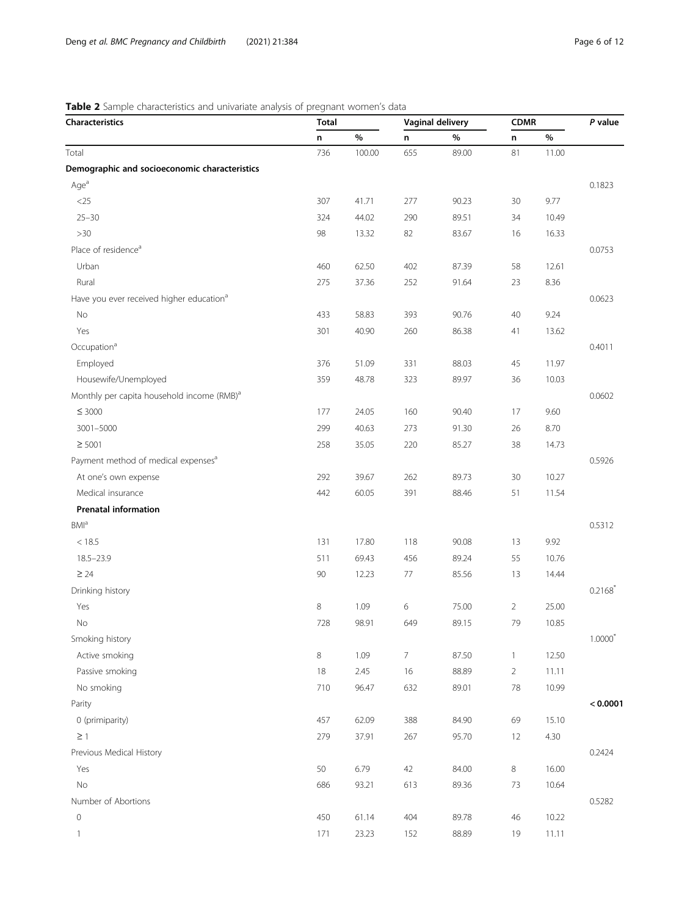# <span id="page-5-0"></span>Table 2 Sample characteristics and univariate analysis of pregnant women's data

| Characteristics                                        | <b>Total</b> |        | <b>Vaginal delivery</b> |       | <b>CDMR</b>    |       | P value            |
|--------------------------------------------------------|--------------|--------|-------------------------|-------|----------------|-------|--------------------|
|                                                        | n            | %      | n                       | $\%$  | n              | $\%$  |                    |
| Total                                                  | 736          | 100.00 | 655                     | 89.00 | 81             | 11.00 |                    |
| Demographic and socioeconomic characteristics          |              |        |                         |       |                |       |                    |
| Age <sup>a</sup>                                       |              |        |                         |       |                |       | 0.1823             |
| $<$ 25                                                 | 307          | 41.71  | 277                     | 90.23 | 30             | 9.77  |                    |
| $25 - 30$                                              | 324          | 44.02  | 290                     | 89.51 | 34             | 10.49 |                    |
| >30                                                    | 98           | 13.32  | 82                      | 83.67 | 16             | 16.33 |                    |
| Place of residence <sup>a</sup>                        |              |        |                         |       |                |       | 0.0753             |
| Urban                                                  | 460          | 62.50  | 402                     | 87.39 | 58             | 12.61 |                    |
| Rural                                                  | 275          | 37.36  | 252                     | 91.64 | 23             | 8.36  |                    |
| Have you ever received higher education <sup>a</sup>   |              |        |                         |       |                |       | 0.0623             |
| No                                                     | 433          | 58.83  | 393                     | 90.76 | 40             | 9.24  |                    |
| Yes                                                    | 301          | 40.90  | 260                     | 86.38 | 41             | 13.62 |                    |
| Occupation <sup>a</sup>                                |              |        |                         |       |                |       | 0.4011             |
| Employed                                               | 376          | 51.09  | 331                     | 88.03 | 45             | 11.97 |                    |
| Housewife/Unemployed                                   | 359          | 48.78  | 323                     | 89.97 | 36             | 10.03 |                    |
| Monthly per capita household income (RMB) <sup>a</sup> |              |        |                         |       |                |       | 0.0602             |
| $\leq 3000$                                            | 177          | 24.05  | 160                     | 90.40 | 17             | 9.60  |                    |
| 3001-5000                                              | 299          | 40.63  | 273                     | 91.30 | 26             | 8.70  |                    |
| $\geq 5001$                                            | 258          | 35.05  | 220                     | 85.27 | 38             | 14.73 |                    |
| Payment method of medical expenses <sup>a</sup>        |              |        |                         |       |                |       | 0.5926             |
| At one's own expense                                   | 292          | 39.67  | 262                     | 89.73 | 30             | 10.27 |                    |
| Medical insurance                                      | 442          | 60.05  | 391                     | 88.46 | 51             | 11.54 |                    |
| <b>Prenatal information</b>                            |              |        |                         |       |                |       |                    |
| <b>BMI</b> <sup>a</sup>                                |              |        |                         |       |                |       | 0.5312             |
| < 18.5                                                 | 131          | 17.80  | 118                     | 90.08 | 13             | 9.92  |                    |
| $18.5 - 23.9$                                          | 511          | 69.43  | 456                     | 89.24 | 55             | 10.76 |                    |
| $\geq 24$                                              | 90           | 12.23  | 77                      | 85.56 | 13             | 14.44 |                    |
| Drinking history                                       |              |        |                         |       |                |       | 0.2168             |
| Yes                                                    | 8            | 1.09   | $\,$ 6 $\,$             | 75.00 | $\overline{2}$ | 25.00 |                    |
| No                                                     | 728          | 98.91  | 649                     | 89.15 | 79             | 10.85 |                    |
| Smoking history                                        |              |        |                         |       |                |       | $1.0000^{\degree}$ |
| Active smoking                                         | 8            | 1.09   | $\overline{7}$          | 87.50 | $\mathbf{1}$   | 12.50 |                    |
| Passive smoking                                        | $18\,$       | 2.45   | 16                      | 88.89 | $\overline{2}$ | 11.11 |                    |
| No smoking                                             | 710          | 96.47  | 632                     | 89.01 | 78             | 10.99 |                    |
| Parity                                                 |              |        |                         |       |                |       | < 0.0001           |
| 0 (primiparity)                                        | 457          | 62.09  | 388                     | 84.90 | 69             | 15.10 |                    |
| $\geq$ 1                                               | 279          | 37.91  | 267                     | 95.70 | 12             | 4.30  |                    |
| Previous Medical History                               |              |        |                         |       |                |       | 0.2424             |
| Yes                                                    | 50           | 6.79   | 42                      | 84.00 | 8              | 16.00 |                    |
| <b>No</b>                                              | 686          | 93.21  | 613                     | 89.36 | 73             | 10.64 |                    |
| Number of Abortions                                    |              |        |                         |       |                |       | 0.5282             |
| $\circ$                                                | 450          | 61.14  | 404                     | 89.78 | 46             | 10.22 |                    |
| $\mathbf{1}$                                           | 171          | 23.23  | 152                     | 88.89 | 19             | 11.11 |                    |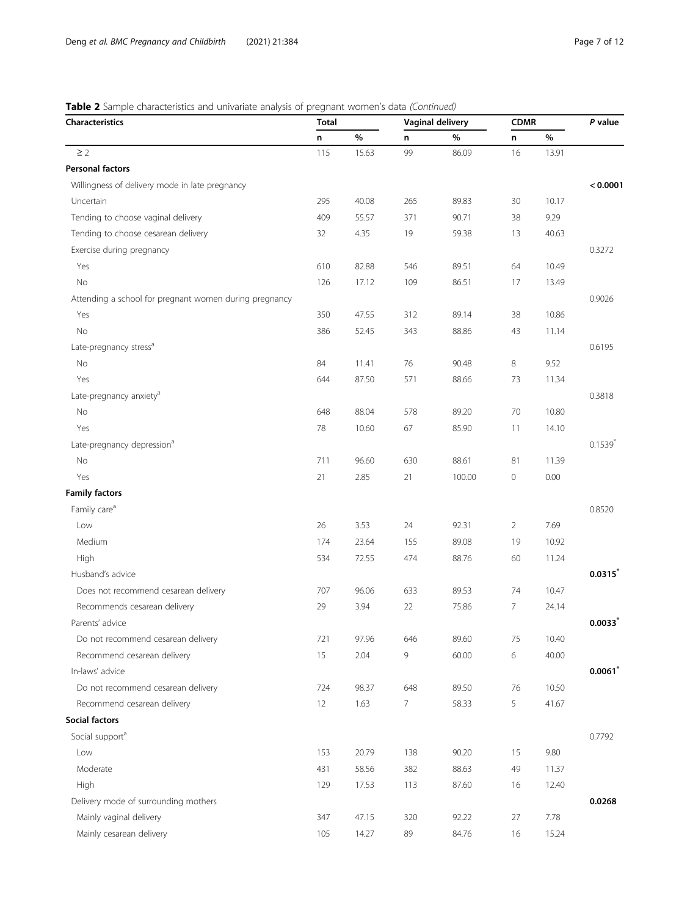# Table 2 Sample characteristics and univariate analysis of pregnant women's data (Continued)

| <b>Characteristics</b>                                 | <b>Total</b> |       | <b>Vaginal delivery</b> |        | <b>CDMR</b>     |       | P value               |
|--------------------------------------------------------|--------------|-------|-------------------------|--------|-----------------|-------|-----------------------|
|                                                        | n            | %     | n                       | %      | n               | $\%$  |                       |
| $\geq$ 2                                               | 115          | 15.63 | 99                      | 86.09  | 16              | 13.91 |                       |
| <b>Personal factors</b>                                |              |       |                         |        |                 |       |                       |
| Willingness of delivery mode in late pregnancy         |              |       |                         |        |                 |       | < 0.0001              |
| Uncertain                                              | 295          | 40.08 | 265                     | 89.83  | 30              | 10.17 |                       |
| Tending to choose vaginal delivery                     | 409          | 55.57 | 371                     | 90.71  | 38              | 9.29  |                       |
| Tending to choose cesarean delivery                    | 32           | 4.35  | 19                      | 59.38  | 13              | 40.63 |                       |
| Exercise during pregnancy                              |              |       |                         |        |                 |       | 0.3272                |
| Yes                                                    | 610          | 82.88 | 546                     | 89.51  | 64              | 10.49 |                       |
| No                                                     | 126          | 17.12 | 109                     | 86.51  | 17              | 13.49 |                       |
| Attending a school for pregnant women during pregnancy |              |       |                         |        |                 |       | 0.9026                |
| Yes                                                    | 350          | 47.55 | 312                     | 89.14  | 38              | 10.86 |                       |
| No                                                     | 386          | 52.45 | 343                     | 88.86  | 43              | 11.14 |                       |
| Late-pregnancy stress <sup>a</sup>                     |              |       |                         |        |                 |       | 0.6195                |
| No                                                     | 84           | 11.41 | 76                      | 90.48  | 8               | 9.52  |                       |
| Yes                                                    | 644          | 87.50 | 571                     | 88.66  | 73              | 11.34 |                       |
| Late-pregnancy anxiety <sup>a</sup>                    |              |       |                         |        |                 |       | 0.3818                |
| No                                                     | 648          | 88.04 | 578                     | 89.20  | 70              | 10.80 |                       |
| Yes                                                    | 78           | 10.60 | 67                      | 85.90  | 11              | 14.10 |                       |
| Late-pregnancy depression <sup>a</sup>                 |              |       |                         |        |                 |       | $0.1539$ <sup>*</sup> |
| No                                                     | 711          | 96.60 | 630                     | 88.61  | 81              | 11.39 |                       |
| Yes                                                    | 21           | 2.85  | 21                      | 100.00 | 0               | 0.00  |                       |
| <b>Family factors</b>                                  |              |       |                         |        |                 |       |                       |
| Family care <sup>a</sup>                               |              |       |                         |        |                 |       | 0.8520                |
| Low                                                    | 26           | 3.53  | 24                      | 92.31  | $\overline{2}$  | 7.69  |                       |
| Medium                                                 | 174          | 23.64 | 155                     | 89.08  | 19              | 10.92 |                       |
| High                                                   | 534          | 72.55 | 474                     | 88.76  | 60              | 11.24 |                       |
| Husband's advice                                       |              |       |                         |        |                 |       | $0.0315^{*}$          |
| Does not recommend cesarean delivery                   | 707          | 96.06 | 633                     | 89.53  | 74              | 10.47 |                       |
| Recommends cesarean delivery                           | 29           | 3.94  | 22                      | 75.86  | $7\overline{ }$ | 24.14 |                       |
| Parents' advice                                        |              |       |                         |        |                 |       | $0.0033*$             |
| Do not recommend cesarean delivery                     | 721          | 97.96 | 646                     | 89.60  | 75              | 10.40 |                       |
| Recommend cesarean delivery                            | 15           | 2.04  | 9                       | 60.00  | 6               | 40.00 |                       |
| In-laws' advice                                        |              |       |                         |        |                 |       | $0.0061^*$            |
| Do not recommend cesarean delivery                     | 724          | 98.37 | 648                     | 89.50  | 76              | 10.50 |                       |
| Recommend cesarean delivery                            | 12           | 1.63  | $\overline{7}$          | 58.33  | 5               | 41.67 |                       |
| Social factors                                         |              |       |                         |        |                 |       |                       |
| Social support <sup>a</sup>                            |              |       |                         |        |                 |       | 0.7792                |
| Low                                                    | 153          | 20.79 | 138                     | 90.20  | 15              | 9.80  |                       |
| Moderate                                               | 431          | 58.56 | 382                     | 88.63  | 49              | 11.37 |                       |
| High                                                   | 129          | 17.53 | 113                     | 87.60  | 16              | 12.40 |                       |
| Delivery mode of surrounding mothers                   |              |       |                         |        |                 |       | 0.0268                |
| Mainly vaginal delivery                                | 347          | 47.15 | 320                     | 92.22  | 27              | 7.78  |                       |
| Mainly cesarean delivery                               | 105          | 14.27 | 89                      | 84.76  | 16              | 15.24 |                       |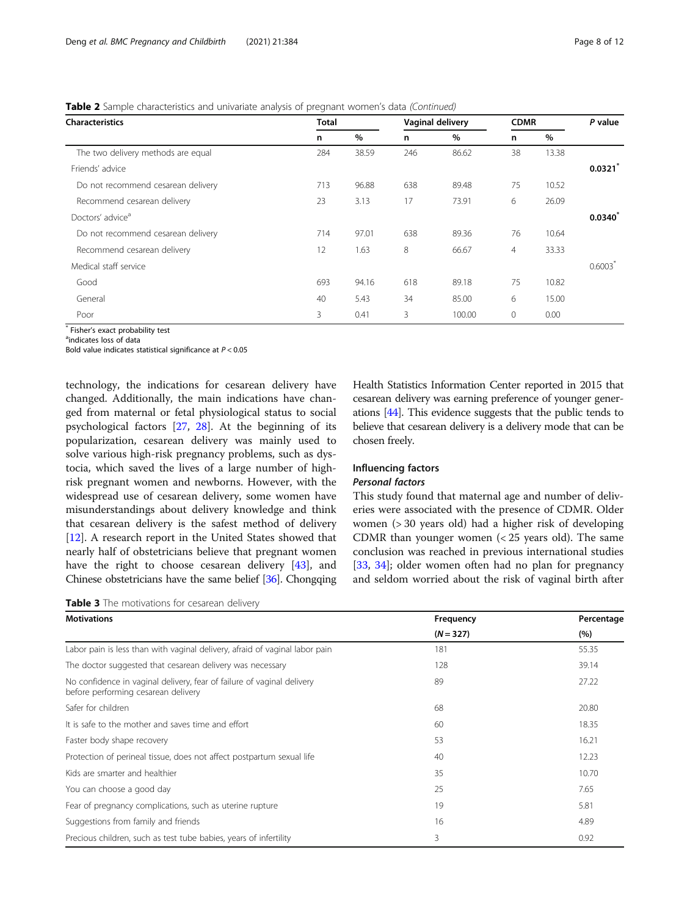<span id="page-7-0"></span>Table 2 Sample characteristics and univariate analysis of pregnant women's data (Continued)

| <b>Characteristics</b>             | <b>Total</b> |       |     | Vaginal delivery |          | <b>CDMR</b> |              |
|------------------------------------|--------------|-------|-----|------------------|----------|-------------|--------------|
|                                    | n            | $\%$  | n   | $\%$             | n        | $\%$        |              |
| The two delivery methods are equal | 284          | 38.59 | 246 | 86.62            | 38       | 13.38       |              |
| Friends' advice                    |              |       |     |                  |          |             | 0.0321       |
| Do not recommend cesarean delivery | 713          | 96.88 | 638 | 89.48            | 75       | 10.52       |              |
| Recommend cesarean delivery        | 23           | 3.13  | 17  | 73.91            | 6        | 26.09       |              |
| Doctors' advice <sup>a</sup>       |              |       |     |                  |          |             | $0.0340^{r}$ |
| Do not recommend cesarean delivery | 714          | 97.01 | 638 | 89.36            | 76       | 10.64       |              |
| Recommend cesarean delivery        | 12           | 1.63  | 8   | 66.67            | 4        | 33.33       |              |
| Medical staff service              |              |       |     |                  |          |             | 0.6003       |
| Good                               | 693          | 94.16 | 618 | 89.18            | 75       | 10.82       |              |
| General                            | 40           | 5.43  | 34  | 85.00            | 6        | 15.00       |              |
| Poor                               | 3            | 0.41  | 3   | 100.00           | $\Omega$ | 0.00        |              |

 $*$  Fisher's exact probability test

<sup>a</sup>indicates loss of data

Bold value indicates statistical significance at  $P < 0.05$ 

technology, the indications for cesarean delivery have changed. Additionally, the main indications have changed from maternal or fetal physiological status to social psychological factors [[27,](#page-10-0) [28\]](#page-11-0). At the beginning of its popularization, cesarean delivery was mainly used to solve various high-risk pregnancy problems, such as dystocia, which saved the lives of a large number of highrisk pregnant women and newborns. However, with the widespread use of cesarean delivery, some women have misunderstandings about delivery knowledge and think that cesarean delivery is the safest method of delivery [[12\]](#page-10-0). A research report in the United States showed that nearly half of obstetricians believe that pregnant women have the right to choose cesarean delivery [[43](#page-11-0)], and Chinese obstetricians have the same belief [\[36\]](#page-11-0). Chongqing

Table 3 The motivations for cesarean delivery

Health Statistics Information Center reported in 2015 that cesarean delivery was earning preference of younger generations [\[44\]](#page-11-0). This evidence suggests that the public tends to believe that cesarean delivery is a delivery mode that can be chosen freely.

### Influencing factors Personal factors

This study found that maternal age and number of deliveries were associated with the presence of CDMR. Older women (> 30 years old) had a higher risk of developing CDMR than younger women (< 25 years old). The same conclusion was reached in previous international studies [[33,](#page-11-0) [34\]](#page-11-0); older women often had no plan for pregnancy and seldom worried about the risk of vaginal birth after

| <b>Motivations</b>                                                                                            | Frequency   | Percentage |  |
|---------------------------------------------------------------------------------------------------------------|-------------|------------|--|
|                                                                                                               | $(N = 327)$ | (%)        |  |
| Labor pain is less than with vaginal delivery, afraid of vaginal labor pain                                   | 181         | 55.35      |  |
| The doctor suggested that cesarean delivery was necessary                                                     | 128         | 39.14      |  |
| No confidence in vaginal delivery, fear of failure of vaginal delivery<br>before performing cesarean delivery | 89          | 27.22      |  |
| Safer for children                                                                                            | 68          | 20.80      |  |
| It is safe to the mother and saves time and effort                                                            | 60          | 18.35      |  |
| Faster body shape recovery                                                                                    | 53          | 16.21      |  |
| Protection of perineal tissue, does not affect postpartum sexual life                                         | 40          | 12.23      |  |
| Kids are smarter and healthier                                                                                | 35          | 10.70      |  |
| You can choose a good day                                                                                     | 25          | 7.65       |  |
| Fear of pregnancy complications, such as uterine rupture                                                      | 19          | 5.81       |  |
| Suggestions from family and friends                                                                           | 16          | 4.89       |  |
| Precious children, such as test tube babies, years of infertility                                             | 3           | 0.92       |  |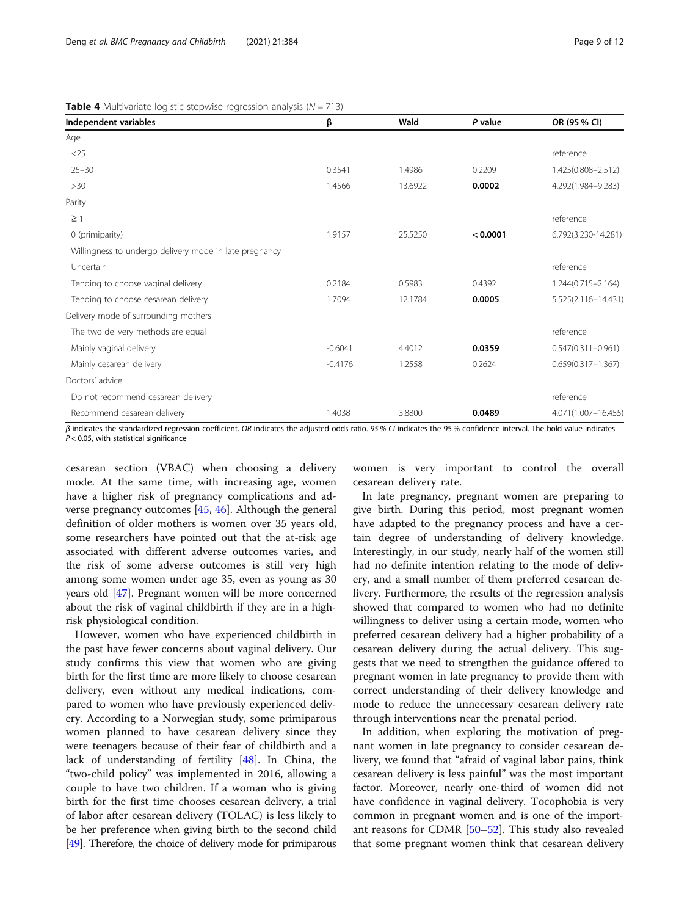| Independent variables                                  | β         | Wald    | P value  | OR (95 % CI)           |
|--------------------------------------------------------|-----------|---------|----------|------------------------|
| Age                                                    |           |         |          |                        |
| $<$ 25                                                 |           |         |          | reference              |
| $25 - 30$                                              | 0.3541    | 1.4986  | 0.2209   | 1.425(0.808-2.512)     |
| >30                                                    | 1.4566    | 13.6922 | 0.0002   | 4.292(1.984-9.283)     |
| Parity                                                 |           |         |          |                        |
| $\geq$ 1                                               |           |         |          | reference              |
| 0 (primiparity)                                        | 1.9157    | 25.5250 | < 0.0001 | 6.792(3.230-14.281)    |
| Willingness to undergo delivery mode in late pregnancy |           |         |          |                        |
| Uncertain                                              |           |         |          | reference              |
| Tending to choose vaginal delivery                     | 0.2184    | 0.5983  | 0.4392   | $1.244(0.715 - 2.164)$ |
| Tending to choose cesarean delivery                    | 1.7094    | 12.1784 | 0.0005   | 5.525(2.116-14.431)    |
| Delivery mode of surrounding mothers                   |           |         |          |                        |
| The two delivery methods are equal                     |           |         |          | reference              |
| Mainly vaginal delivery                                | $-0.6041$ | 4.4012  | 0.0359   | $0.547(0.311 - 0.961)$ |
| Mainly cesarean delivery                               | $-0.4176$ | 1.2558  | 0.2624   | $0.659(0.317 - 1.367)$ |
| Doctors' advice                                        |           |         |          |                        |
| Do not recommend cesarean delivery                     |           |         |          | reference              |
| Recommend cesarean delivery                            | 1.4038    | 3.8800  | 0.0489   | 4.071(1.007-16.455)    |

<span id="page-8-0"></span>**Table 4** Multivariate logistic stepwise regression analysis ( $N = 713$ )

 $β$  indicates the standardized regression coefficient. OR indicates the adjusted odds ratio. 95 % CI indicates the 95 % confidence interval. The bold value indicates  $P < 0.05$ , with statistical significance

cesarean section (VBAC) when choosing a delivery mode. At the same time, with increasing age, women have a higher risk of pregnancy complications and adverse pregnancy outcomes [[45,](#page-11-0) [46\]](#page-11-0). Although the general definition of older mothers is women over 35 years old, some researchers have pointed out that the at-risk age associated with different adverse outcomes varies, and the risk of some adverse outcomes is still very high among some women under age 35, even as young as 30 years old [\[47](#page-11-0)]. Pregnant women will be more concerned about the risk of vaginal childbirth if they are in a highrisk physiological condition.

However, women who have experienced childbirth in the past have fewer concerns about vaginal delivery. Our study confirms this view that women who are giving birth for the first time are more likely to choose cesarean delivery, even without any medical indications, compared to women who have previously experienced delivery. According to a Norwegian study, some primiparous women planned to have cesarean delivery since they were teenagers because of their fear of childbirth and a lack of understanding of fertility [[48](#page-11-0)]. In China, the "two-child policy" was implemented in 2016, allowing a couple to have two children. If a woman who is giving birth for the first time chooses cesarean delivery, a trial of labor after cesarean delivery (TOLAC) is less likely to be her preference when giving birth to the second child [[49\]](#page-11-0). Therefore, the choice of delivery mode for primiparous women is very important to control the overall cesarean delivery rate.

In late pregnancy, pregnant women are preparing to give birth. During this period, most pregnant women have adapted to the pregnancy process and have a certain degree of understanding of delivery knowledge. Interestingly, in our study, nearly half of the women still had no definite intention relating to the mode of delivery, and a small number of them preferred cesarean delivery. Furthermore, the results of the regression analysis showed that compared to women who had no definite willingness to deliver using a certain mode, women who preferred cesarean delivery had a higher probability of a cesarean delivery during the actual delivery. This suggests that we need to strengthen the guidance offered to pregnant women in late pregnancy to provide them with correct understanding of their delivery knowledge and mode to reduce the unnecessary cesarean delivery rate through interventions near the prenatal period.

In addition, when exploring the motivation of pregnant women in late pregnancy to consider cesarean delivery, we found that "afraid of vaginal labor pains, think cesarean delivery is less painful" was the most important factor. Moreover, nearly one-third of women did not have confidence in vaginal delivery. Tocophobia is very common in pregnant women and is one of the important reasons for CDMR [\[50](#page-11-0)–[52\]](#page-11-0). This study also revealed that some pregnant women think that cesarean delivery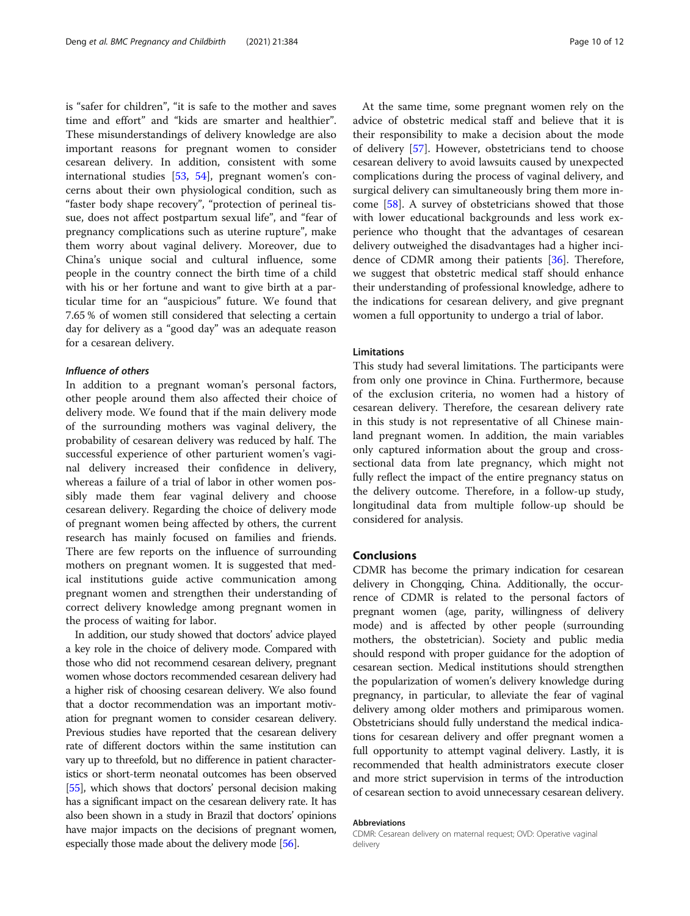is "safer for children", "it is safe to the mother and saves time and effort" and "kids are smarter and healthier". These misunderstandings of delivery knowledge are also important reasons for pregnant women to consider cesarean delivery. In addition, consistent with some international studies [\[53](#page-11-0), [54](#page-11-0)], pregnant women's concerns about their own physiological condition, such as "faster body shape recovery", "protection of perineal tissue, does not affect postpartum sexual life", and "fear of pregnancy complications such as uterine rupture", make them worry about vaginal delivery. Moreover, due to China's unique social and cultural influence, some people in the country connect the birth time of a child with his or her fortune and want to give birth at a particular time for an "auspicious" future. We found that 7.65 % of women still considered that selecting a certain day for delivery as a "good day" was an adequate reason for a cesarean delivery.

### Influence of others

In addition to a pregnant woman's personal factors, other people around them also affected their choice of delivery mode. We found that if the main delivery mode of the surrounding mothers was vaginal delivery, the probability of cesarean delivery was reduced by half. The successful experience of other parturient women's vaginal delivery increased their confidence in delivery, whereas a failure of a trial of labor in other women possibly made them fear vaginal delivery and choose cesarean delivery. Regarding the choice of delivery mode of pregnant women being affected by others, the current research has mainly focused on families and friends. There are few reports on the influence of surrounding mothers on pregnant women. It is suggested that medical institutions guide active communication among pregnant women and strengthen their understanding of correct delivery knowledge among pregnant women in the process of waiting for labor.

In addition, our study showed that doctors' advice played a key role in the choice of delivery mode. Compared with those who did not recommend cesarean delivery, pregnant women whose doctors recommended cesarean delivery had a higher risk of choosing cesarean delivery. We also found that a doctor recommendation was an important motivation for pregnant women to consider cesarean delivery. Previous studies have reported that the cesarean delivery rate of different doctors within the same institution can vary up to threefold, but no difference in patient characteristics or short-term neonatal outcomes has been observed [[55](#page-11-0)], which shows that doctors' personal decision making has a significant impact on the cesarean delivery rate. It has also been shown in a study in Brazil that doctors' opinions have major impacts on the decisions of pregnant women, especially those made about the delivery mode [\[56](#page-11-0)].

At the same time, some pregnant women rely on the advice of obstetric medical staff and believe that it is their responsibility to make a decision about the mode of delivery [\[57](#page-11-0)]. However, obstetricians tend to choose cesarean delivery to avoid lawsuits caused by unexpected complications during the process of vaginal delivery, and surgical delivery can simultaneously bring them more income [\[58\]](#page-11-0). A survey of obstetricians showed that those with lower educational backgrounds and less work experience who thought that the advantages of cesarean delivery outweighed the disadvantages had a higher incidence of CDMR among their patients [\[36\]](#page-11-0). Therefore, we suggest that obstetric medical staff should enhance their understanding of professional knowledge, adhere to the indications for cesarean delivery, and give pregnant women a full opportunity to undergo a trial of labor.

### **Limitations**

This study had several limitations. The participants were from only one province in China. Furthermore, because of the exclusion criteria, no women had a history of cesarean delivery. Therefore, the cesarean delivery rate in this study is not representative of all Chinese mainland pregnant women. In addition, the main variables only captured information about the group and crosssectional data from late pregnancy, which might not fully reflect the impact of the entire pregnancy status on the delivery outcome. Therefore, in a follow-up study, longitudinal data from multiple follow-up should be considered for analysis.

### Conclusions

CDMR has become the primary indication for cesarean delivery in Chongqing, China. Additionally, the occurrence of CDMR is related to the personal factors of pregnant women (age, parity, willingness of delivery mode) and is affected by other people (surrounding mothers, the obstetrician). Society and public media should respond with proper guidance for the adoption of cesarean section. Medical institutions should strengthen the popularization of women's delivery knowledge during pregnancy, in particular, to alleviate the fear of vaginal delivery among older mothers and primiparous women. Obstetricians should fully understand the medical indications for cesarean delivery and offer pregnant women a full opportunity to attempt vaginal delivery. Lastly, it is recommended that health administrators execute closer and more strict supervision in terms of the introduction of cesarean section to avoid unnecessary cesarean delivery.

### Abbreviations

CDMR: Cesarean delivery on maternal request; OVD: Operative vaginal delivery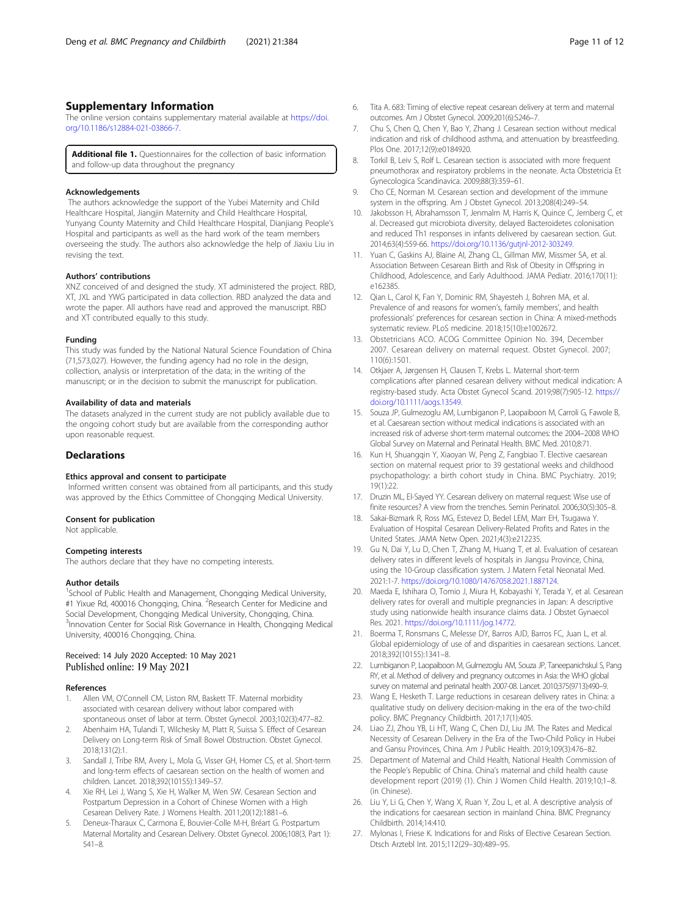### <span id="page-10-0"></span>Supplementary Information

The online version contains supplementary material available at [https://doi.](https://doi.org/10.1186/s12884-021-03866-7) [org/10.1186/s12884-021-03866-7.](https://doi.org/10.1186/s12884-021-03866-7)

**Additional file 1.** Questionnaires for the collection of basic information and follow-up data throughout the pregnancy

### Acknowledgements

The authors acknowledge the support of the Yubei Maternity and Child Healthcare Hospital, Jiangjin Maternity and Child Healthcare Hospital, Yunyang County Maternity and Child Healthcare Hospital, Dianjiang People's Hospital and participants as well as the hard work of the team members overseeing the study. The authors also acknowledge the help of Jiaxiu Liu in revising the text.

### Authors' contributions

XNZ conceived of and designed the study. XT administered the project. RBD, XT, JXL and YWG participated in data collection. RBD analyzed the data and wrote the paper. All authors have read and approved the manuscript. RBD and XT contributed equally to this study.

### Funding

This study was funded by the National Natural Science Foundation of China (71,573,027). However, the funding agency had no role in the design, collection, analysis or interpretation of the data; in the writing of the manuscript; or in the decision to submit the manuscript for publication.

### Availability of data and materials

The datasets analyzed in the current study are not publicly available due to the ongoing cohort study but are available from the corresponding author upon reasonable request.

### **Declarations**

### Ethics approval and consent to participate

Informed written consent was obtained from all participants, and this study was approved by the Ethics Committee of Chongqing Medical University.

### Consent for publication

Not applicable.

### Competing interests

The authors declare that they have no competing interests.

### Author details

<sup>1</sup>School of Public Health and Management, Chongqing Medical University, #1 Yixue Rd, 400016 Chongqing, China. <sup>2</sup>Research Center for Medicine and Social Development, Chongqing Medical University, Chongqing, China. <sup>3</sup>Innovation Center for Social Risk Governance in Health, Chongqing Medical University, 400016 Chongqing, China.

### Received: 14 July 2020 Accepted: 10 May 2021 Published online: 19 May 2021

### References

- 1. Allen VM, O'Connell CM, Liston RM, Baskett TF. Maternal morbidity associated with cesarean delivery without labor compared with spontaneous onset of labor at term. Obstet Gynecol. 2003;102(3):477–82.
- 2. Abenhaim HA, Tulandi T, Wilchesky M, Platt R, Suissa S. Effect of Cesarean Delivery on Long-term Risk of Small Bowel Obstruction. Obstet Gynecol. 2018;131(2):1.
- 3. Sandall J, Tribe RM, Avery L, Mola G, Visser GH, Homer CS, et al. Short-term and long-term effects of caesarean section on the health of women and children. Lancet. 2018;392(10155):1349–57.
- Xie RH, Lei J, Wang S, Xie H, Walker M, Wen SW. Cesarean Section and Postpartum Depression in a Cohort of Chinese Women with a High Cesarean Delivery Rate. J Womens Health. 2011;20(12):1881–6.
- 5. Deneux-Tharaux C, Carmona E, Bouvier-Colle M-H, Bréart G. Postpartum Maternal Mortality and Cesarean Delivery. Obstet Gynecol. 2006;108(3, Part 1): 541–8.
- 6. Tita A. 683: Timing of elective repeat cesarean delivery at term and maternal outcomes. Am J Obstet Gynecol. 2009;201(6):S246–7.
- 7. Chu S, Chen Q, Chen Y, Bao Y, Zhang J. Cesarean section without medical indication and risk of childhood asthma, and attenuation by breastfeeding. Plos One. 2017;12(9):e0184920.
- 8. Torkil B, Leiv S, Rolf L. Cesarean section is associated with more frequent pneumothorax and respiratory problems in the neonate. Acta Obstetricia Et Gynecologica Scandinavica. 2009;88(3):359–61.
- 9. Cho CE, Norman M. Cesarean section and development of the immune system in the offspring. Am J Obstet Gynecol. 2013;208(4):249–54.
- 10. Jakobsson H, Abrahamsson T, Jenmalm M, Harris K, Quince C, Jernberg C, et al. Decreased gut microbiota diversity, delayed Bacteroidetes colonisation and reduced Th1 responses in infants delivered by caesarean section. Gut. 2014;63(4):559-66. <https://doi.org/10.1136/gutjnl-2012-303249>.
- 11. Yuan C, Gaskins AJ, Blaine AI, Zhang CL, Gillman MW, Missmer SA, et al. Association Between Cesarean Birth and Risk of Obesity in Offspring in Childhood, Adolescence, and Early Adulthood. JAMA Pediatr. 2016;170(11): e162385.
- 12. Qian L, Carol K, Fan Y, Dominic RM, Shayesteh J, Bohren MA, et al. Prevalence of and reasons for women's, family members', and health professionals' preferences for cesarean section in China: A mixed-methods systematic review. PLoS medicine. 2018;15(10):e1002672.
- 13. Obstetricians ACO. ACOG Committee Opinion No. 394, December 2007. Cesarean delivery on maternal request. Obstet Gynecol. 2007; 110(6):1501.
- 14. Otkjaer A, Jørgensen H, Clausen T, Krebs L. Maternal short-term complications after planned cesarean delivery without medical indication: A registry-based study. Acta Obstet Gynecol Scand. 2019;98(7):905-12. [https://](https://doi.org/10.1111/aogs.13549) [doi.org/10.1111/aogs.13549.](https://doi.org/10.1111/aogs.13549)
- 15. Souza JP, Gulmezoglu AM, Lumbiganon P, Laopaiboon M, Carroli G, Fawole B, et al. Caesarean section without medical indications is associated with an increased risk of adverse short-term maternal outcomes: the 2004–2008 WHO Global Survey on Maternal and Perinatal Health. BMC Med. 2010;8:71.
- 16. Kun H, Shuangqin Y, Xiaoyan W, Peng Z, Fangbiao T. Elective caesarean section on maternal request prior to 39 gestational weeks and childhood psychopathology: a birth cohort study in China. BMC Psychiatry. 2019; 19(1):22.
- 17. Druzin ML, El-Sayed YY. Cesarean delivery on maternal request: Wise use of finite resources? A view from the trenches. Semin Perinatol. 2006;30(5):305–8.
- 18. Sakai-Bizmark R, Ross MG, Estevez D, Bedel LEM, Marr EH, Tsugawa Y. Evaluation of Hospital Cesarean Delivery-Related Profits and Rates in the United States. JAMA Netw Open. 2021;4(3):e212235.
- 19. Gu N, Dai Y, Lu D, Chen T, Zhang M, Huang T, et al. Evaluation of cesarean delivery rates in different levels of hospitals in Jiangsu Province, China, using the 10-Group classification system. J Matern Fetal Neonatal Med. 2021:1-7. <https://doi.org/10.1080/14767058.2021.1887124>.
- 20. Maeda E, Ishihara O, Tomio J, Miura H, Kobayashi Y, Terada Y, et al. Cesarean delivery rates for overall and multiple pregnancies in Japan: A descriptive study using nationwide health insurance claims data. J Obstet Gynaecol Res. 2021. <https://doi.org/10.1111/jog.14772>.
- 21. Boerma T, Ronsmans C, Melesse DY, Barros AJD, Barros FC, Juan L, et al. Global epidemiology of use of and disparities in caesarean sections. Lancet. 2018;392(10155):1341–8.
- 22. Lumbiganon P, Laopaiboon M, Gulmezoglu AM, Souza JP, Taneepanichskul S, Pang RY, et al. Method of delivery and pregnancy outcomes in Asia: the WHO global survey on maternal and perinatal health 2007-08. Lancet. 2010;375(9713):490–9.
- 23. Wang E, Hesketh T. Large reductions in cesarean delivery rates in China: a qualitative study on delivery decision-making in the era of the two-child policy. BMC Pregnancy Childbirth. 2017;17(1):405.
- 24. Liao ZJ, Zhou YB, Li HT, Wang C, Chen DJ, Liu JM. The Rates and Medical Necessity of Cesarean Delivery in the Era of the Two-Child Policy in Hubei and Gansu Provinces, China. Am J Public Health. 2019;109(3):476–82.
- 25. Department of Maternal and Child Health, National Health Commission of the People's Republic of China. China's maternal and child health cause development report (2019) (1). Chin J Women Child Health. 2019;10;1–8. (in Chinese).
- 26. Liu Y, Li G, Chen Y, Wang X, Ruan Y, Zou L, et al. A descriptive analysis of the indications for caesarean section in mainland China. BMC Pregnancy Childbirth. 2014;14:410.
- 27. Mylonas I, Friese K. Indications for and Risks of Elective Cesarean Section. Dtsch Arztebl Int. 2015;112(29–30):489–95.